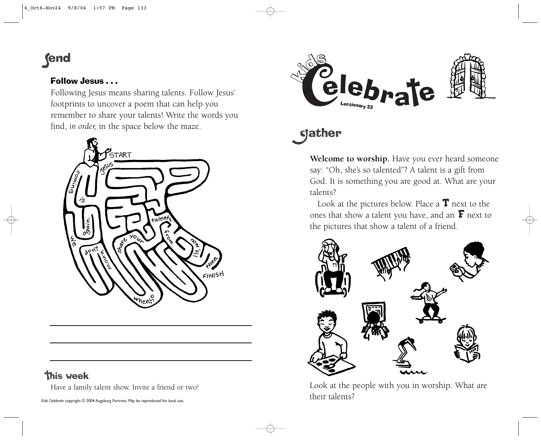# **fend**

### Follow Jesus . . .

Following Jesus means sharing talents. Follow Jesus' footprints to uncover a poem that can help you remember to share your talents! Write the words you find, *in order,* in the space below the maze.



## **This week**

Have a family talent show. Invite a friend or two!



# **gather**

**Welcome to worship.** Have you ever heard someone say: "Oh, she's so talented"? A talent is a gift from God. It is something you are good at. What are your talents?

Look at the pictures below. Place a **T** next to the ones that show a talent you have, and an **F** next to the pictures that show a talent of a friend.



Look at the people with you in worship. What are their talents?